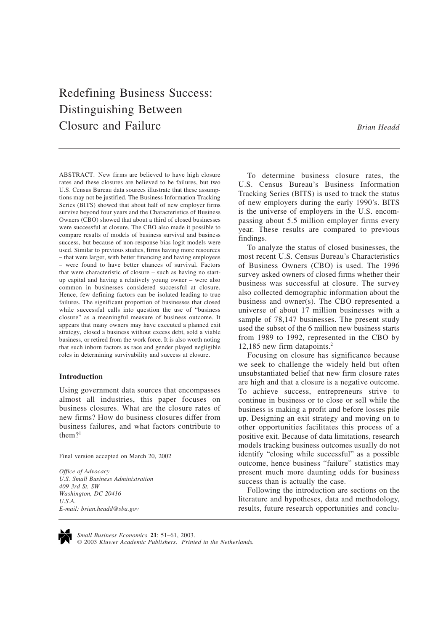# Redefining Business Success: Distinguishing Between Closure and Failure *Brian Headd*

ABSTRACT. New firms are believed to have high closure rates and these closures are believed to be failures, but two U.S. Census Bureau data sources illustrate that these assumptions may not be justified. The Business Information Tracking Series (BITS) showed that about half of new employer firms survive beyond four years and the Characteristics of Business Owners (CBO) showed that about a third of closed businesses were successful at closure. The CBO also made it possible to compare results of models of business survival and business success, but because of non-response bias logit models were used. Similar to previous studies, firms having more resources – that were larger, with better financing and having employees – were found to have better chances of survival. Factors that were characteristic of closure – such as having no startup capital and having a relatively young owner – were also common in businesses considered successful at closure. Hence, few defining factors can be isolated leading to true failures. The significant proportion of businesses that closed while successful calls into question the use of "business" closure" as a meaningful measure of business outcome. It appears that many owners may have executed a planned exit strategy, closed a business without excess debt, sold a viable business, or retired from the work force. It is also worth noting that such inborn factors as race and gender played negligible roles in determining survivability and success at closure.

## **Introduction**

Using government data sources that encompasses almost all industries, this paper focuses on business closures. What are the closure rates of new firms? How do business closures differ from business failures, and what factors contribute to them $?$ <sup>1</sup>

Final version accepted on March 20, 2002

*Office of Advocacy U.S. Small Business Administration 409 3rd St. SW Washington, DC 20416 U.S.A. E-mail: brian.headd@sba.gov*

To determine business closure rates, the U.S. Census Bureau's Business Information Tracking Series (BITS) is used to track the status of new employers during the early 1990's. BITS is the universe of employers in the U.S. encompassing about 5.5 million employer firms every year. These results are compared to previous findings.

To analyze the status of closed businesses, the most recent U.S. Census Bureau's Characteristics of Business Owners (CBO) is used. The 1996 survey asked owners of closed firms whether their business was successful at closure. The survey also collected demographic information about the business and owner(s). The CBO represented a universe of about 17 million businesses with a sample of 78,147 businesses. The present study used the subset of the 6 million new business starts from 1989 to 1992, represented in the CBO by 12,185 new firm datapoints.<sup>2</sup>

Focusing on closure has significance because we seek to challenge the widely held but often unsubstantiated belief that new firm closure rates are high and that a closure is a negative outcome. To achieve success, entrepreneurs strive to continue in business or to close or sell while the business is making a profit and before losses pile up. Designing an exit strategy and moving on to other opportunities facilitates this process of a positive exit. Because of data limitations, research models tracking business outcomes usually do not identify "closing while successful" as a possible outcome, hence business "failure" statistics may present much more daunting odds for business success than is actually the case.

Following the introduction are sections on the literature and hypotheses, data and methodology, results, future research opportunities and conclu-



*Small Business Economics* **21**: 51–61, 2003.

2003 *Kluwer Academic Publishers. Printed in the Netherlands.*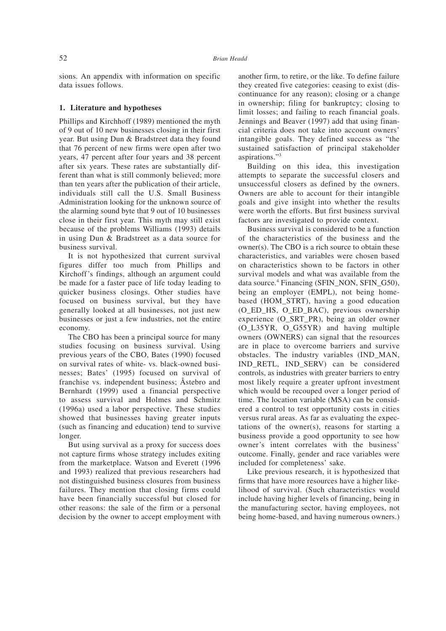sions. An appendix with information on specific data issues follows.

## **1. Literature and hypotheses**

Phillips and Kirchhoff (1989) mentioned the myth of 9 out of 10 new businesses closing in their first year. But using Dun & Bradstreet data they found that 76 percent of new firms were open after two years, 47 percent after four years and 38 percent after six years. These rates are substantially different than what is still commonly believed; more than ten years after the publication of their article, individuals still call the U.S. Small Business Administration looking for the unknown source of the alarming sound byte that 9 out of 10 businesses close in their first year. This myth may still exist because of the problems Williams (1993) details in using Dun & Bradstreet as a data source for business survival.

It is not hypothesized that current survival figures differ too much from Phillips and Kirchoff's findings, although an argument could be made for a faster pace of life today leading to quicker business closings. Other studies have focused on business survival, but they have generally looked at all businesses, not just new businesses or just a few industries, not the entire economy.

The CBO has been a principal source for many studies focusing on business survival. Using previous years of the CBO, Bates (1990) focused on survival rates of white- vs. black-owned businesses; Bates' (1995) focused on survival of franchise vs. independent business; Åstebro and Bernhardt (1999) used a financial perspective to assess survival and Holmes and Schmitz (1996a) used a labor perspective. These studies showed that businesses having greater inputs (such as financing and education) tend to survive longer.

But using survival as a proxy for success does not capture firms whose strategy includes exiting from the marketplace. Watson and Everett (1996 and 1993) realized that previous researchers had not distinguished business closures from business failures. They mention that closing firms could have been financially successful but closed for other reasons: the sale of the firm or a personal decision by the owner to accept employment with

another firm, to retire, or the like. To define failure they created five categories: ceasing to exist (discontinuance for any reason); closing or a change in ownership; filing for bankruptcy; closing to limit losses; and failing to reach financial goals. Jennings and Beaver (1997) add that using financial criteria does not take into account owners' intangible goals. They defined success as "the sustained satisfaction of principal stakeholder aspirations."3

Building on this idea, this investigation attempts to separate the successful closers and unsuccessful closers as defined by the owners. Owners are able to account for their intangible goals and give insight into whether the results were worth the efforts. But first business survival factors are investigated to provide context.

Business survival is considered to be a function of the characteristics of the business and the owner(s). The CBO is a rich source to obtain these characteristics, and variables were chosen based on characteristics shown to be factors in other survival models and what was available from the data source.<sup>4</sup> Financing (SFIN\_NON, SFIN\_G50), being an employer (EMPL), not being homebased (HOM\_STRT), having a good education (O\_ED\_HS, O\_ED\_BAC), previous ownership experience (O\_SRT\_PR), being an older owner (O\_L35YR, O\_G55YR) and having multiple owners (OWNERS) can signal that the resources are in place to overcome barriers and survive obstacles. The industry variables (IND\_MAN, IND\_RETL, IND\_SERV) can be considered controls, as industries with greater barriers to entry most likely require a greater upfront investment which would be recouped over a longer period of time. The location variable (MSA) can be considered a control to test opportunity costs in cities versus rural areas. As far as evaluating the expectations of the owner(s), reasons for starting a business provide a good opportunity to see how owner's intent correlates with the business' outcome. Finally, gender and race variables were included for completeness' sake.

Like previous research, it is hypothesized that firms that have more resources have a higher likelihood of survival. (Such characteristics would include having higher levels of financing, being in the manufacturing sector, having employees, not being home-based, and having numerous owners.)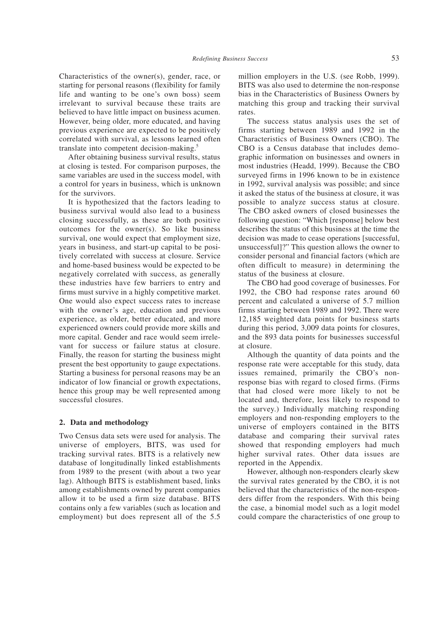Characteristics of the owner(s), gender, race, or starting for personal reasons (flexibility for family life and wanting to be one's own boss) seem irrelevant to survival because these traits are believed to have little impact on business acumen. However, being older, more educated, and having previous experience are expected to be positively correlated with survival, as lessons learned often translate into competent decision-making.5

After obtaining business survival results, status at closing is tested. For comparison purposes, the same variables are used in the success model, with a control for years in business, which is unknown for the survivors.

It is hypothesized that the factors leading to business survival would also lead to a business closing successfully, as these are both positive outcomes for the owner(s). So like business survival, one would expect that employment size, years in business, and start-up capital to be positively correlated with success at closure. Service and home-based business would be expected to be negatively correlated with success, as generally these industries have few barriers to entry and firms must survive in a highly competitive market. One would also expect success rates to increase with the owner's age, education and previous experience, as older, better educated, and more experienced owners could provide more skills and more capital. Gender and race would seem irrelevant for success or failure status at closure. Finally, the reason for starting the business might present the best opportunity to gauge expectations. Starting a business for personal reasons may be an indicator of low financial or growth expectations, hence this group may be well represented among successful closures.

#### **2. Data and methodology**

Two Census data sets were used for analysis. The universe of employers, BITS, was used for tracking survival rates. BITS is a relatively new database of longitudinally linked establishments from 1989 to the present (with about a two year lag). Although BITS is establishment based, links among establishments owned by parent companies allow it to be used a firm size database. BITS contains only a few variables (such as location and employment) but does represent all of the 5.5

million employers in the U.S. (see Robb, 1999). BITS was also used to determine the non-response bias in the Characteristics of Business Owners by matching this group and tracking their survival rates.

The success status analysis uses the set of firms starting between 1989 and 1992 in the Characteristics of Business Owners (CBO). The CBO is a Census database that includes demographic information on businesses and owners in most industries (Headd, 1999). Because the CBO surveyed firms in 1996 known to be in existence in 1992, survival analysis was possible; and since it asked the status of the business at closure, it was possible to analyze success status at closure. The CBO asked owners of closed businesses the following question: "Which [response] below best describes the status of this business at the time the decision was made to cease operations [successful, unsuccessful]?" This question allows the owner to consider personal and financial factors (which are often difficult to measure) in determining the status of the business at closure.

The CBO had good coverage of businesses. For 1992, the CBO had response rates around 60 percent and calculated a universe of 5.7 million firms starting between 1989 and 1992. There were 12,185 weighted data points for business starts during this period, 3,009 data points for closures, and the 893 data points for businesses successful at closure.

Although the quantity of data points and the response rate were acceptable for this study, data issues remained, primarily the CBO's nonresponse bias with regard to closed firms. (Firms that had closed were more likely to not be located and, therefore, less likely to respond to the survey.) Individually matching responding employers and non-responding employers to the universe of employers contained in the BITS database and comparing their survival rates showed that responding employers had much higher survival rates. Other data issues are reported in the Appendix.

However, although non-responders clearly skew the survival rates generated by the CBO, it is not believed that the characteristics of the non-responders differ from the responders. With this being the case, a binomial model such as a logit model could compare the characteristics of one group to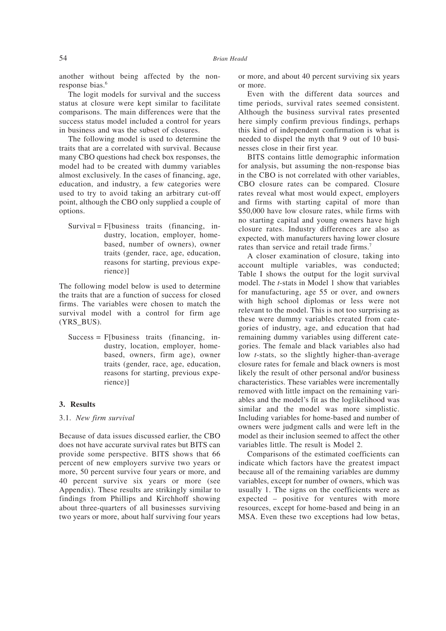another without being affected by the nonresponse bias.<sup>6</sup>

The logit models for survival and the success status at closure were kept similar to facilitate comparisons. The main differences were that the success status model included a control for years in business and was the subset of closures.

The following model is used to determine the traits that are a correlated with survival. Because many CBO questions had check box responses, the model had to be created with dummy variables almost exclusively. In the cases of financing, age, education, and industry, a few categories were used to try to avoid taking an arbitrary cut-off point, although the CBO only supplied a couple of options.

 $Survival = F[business\; traits\; (financing, in$ dustry, location, employer, homebased, number of owners), owner traits (gender, race, age, education, reasons for starting, previous experience)]

The following model below is used to determine the traits that are a function of success for closed firms. The variables were chosen to match the survival model with a control for firm age (YRS\_BUS).

 $Success = F[business\; traits\; (financing, in$ dustry, location, employer, homebased, owners, firm age), owner traits (gender, race, age, education, reasons for starting, previous experience)]

## **3. Results**

## 3.1. *New firm survival*

Because of data issues discussed earlier, the CBO does not have accurate survival rates but BITS can provide some perspective. BITS shows that 66 percent of new employers survive two years or more, 50 percent survive four years or more, and 40 percent survive six years or more (see Appendix). These results are strikingly similar to findings from Phillips and Kirchhoff showing about three-quarters of all businesses surviving two years or more, about half surviving four years

or more, and about 40 percent surviving six years or more.

Even with the different data sources and time periods, survival rates seemed consistent. Although the business survival rates presented here simply confirm previous findings, perhaps this kind of independent confirmation is what is needed to dispel the myth that 9 out of 10 businesses close in their first year.

BITS contains little demographic information for analysis, but assuming the non-response bias in the CBO is not correlated with other variables, CBO closure rates can be compared. Closure rates reveal what most would expect, employers and firms with starting capital of more than \$50,000 have low closure rates, while firms with no starting capital and young owners have high closure rates. Industry differences are also as expected, with manufacturers having lower closure rates than service and retail trade firms.<sup>7</sup>

A closer examination of closure, taking into account multiple variables, was conducted; Table I shows the output for the logit survival model. The *t*-stats in Model 1 show that variables for manufacturing, age 55 or over, and owners with high school diplomas or less were not relevant to the model. This is not too surprising as these were dummy variables created from categories of industry, age, and education that had remaining dummy variables using different categories. The female and black variables also had low *t*-stats, so the slightly higher-than-average closure rates for female and black owners is most likely the result of other personal and/or business characteristics. These variables were incrementally removed with little impact on the remaining variables and the model's fit as the loglikelihood was similar and the model was more simplistic. Including variables for home-based and number of owners were judgment calls and were left in the model as their inclusion seemed to affect the other variables little. The result is Model 2.

Comparisons of the estimated coefficients can indicate which factors have the greatest impact because all of the remaining variables are dummy variables, except for number of owners, which was usually 1. The signs on the coefficients were as expected – positive for ventures with more resources, except for home-based and being in an MSA. Even these two exceptions had low betas,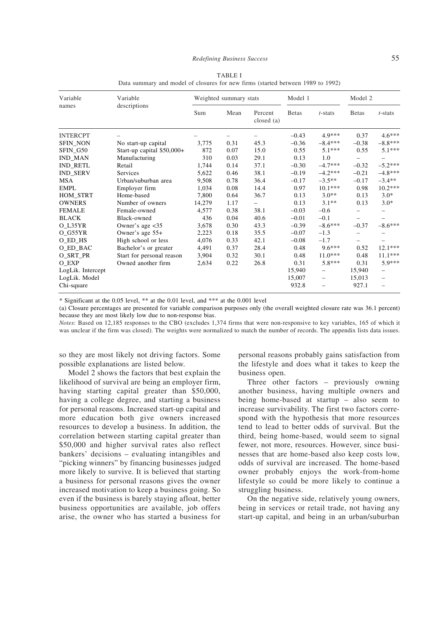| Variable          | Variable                   | Weighted summary stats |      |                          | Model 1       |            | Model 2                  |                          |
|-------------------|----------------------------|------------------------|------|--------------------------|---------------|------------|--------------------------|--------------------------|
| names             | descriptions               | Sum                    | Mean | Percent<br>closed (a)    | <b>B</b> etas | $t$ -stats | <b>B</b> etas            | $t$ -stats               |
| <b>INTERCPT</b>   |                            |                        |      |                          | $-0.43$       | 4.9***     | 0.37                     | $4.6***$                 |
| <b>SFIN_NON</b>   | No start-up capital        | 3,775                  | 0.31 | 45.3                     | $-0.36$       | $-8.4***$  | $-0.38$                  | $-8.8***$                |
| SFIN_G50          | Start-up capital \$50,000+ | 872                    | 0.07 | 15.0                     | 0.55          | $5.1***$   | 0.55                     | $5.1***$                 |
| <b>IND_MAN</b>    | Manufacturing              | 310                    | 0.03 | 29.1                     | 0.13          | 1.0        | -                        | -                        |
| <b>IND RETL</b>   | Retail                     | 1,744                  | 0.14 | 37.1                     | $-0.30$       | $-4.7***$  | $-0.32$                  | $-5.2***$                |
| <b>IND_SERV</b>   | Services                   | 5,622                  | 0.46 | 38.1                     | $-0.19$       | $-4.2***$  | $-0.21$                  | $-4.8***$                |
| <b>MSA</b>        | Urban/suburban area        | 9,508                  | 0.78 | 36.4                     | $-0.17$       | $-3.5**$   | $-0.17$                  | $-3.4**$                 |
| <b>EMPL</b>       | Employer firm              | 1,034                  | 0.08 | 14.4                     | 0.97          | $10.1***$  | 0.98                     | $10.2***$                |
| HOM_STRT          | Home-based                 | 7.800                  | 0.64 | 36.7                     | 0.13          | $3.0**$    | 0.13                     | $3.0*$                   |
| <b>OWNERS</b>     | Number of owners           | 14,279                 | 1.17 | $\overline{\phantom{0}}$ | 0.13          | $3.1**$    | 0.13                     | $3.0*$                   |
| <b>FEMALE</b>     | Female-owned               | 4,577                  | 0.38 | 38.1                     | $-0.03$       | $-0.6$     | -                        |                          |
| <b>BLACK</b>      | Black-owned                | 436                    | 0.04 | 40.6                     | $-0.01$       | $-0.1$     | $\overline{\phantom{0}}$ |                          |
| O_L35YR           | Owner's age $<$ 35         | 3,678                  | 0.30 | 43.3                     | $-0.39$       | $-8.6***$  | $-0.37$                  | $-8.6***$                |
| O G55YR           | Owner's age 55+            | 2,223                  | 0.18 | 35.5                     | $-0.07$       | $-1.3$     | -                        |                          |
| O ED HS           | High school or less        | 4,076                  | 0.33 | 42.1                     | $-0.08$       | $-1.7$     |                          |                          |
| O_ED_BAC          | Bachelor's or greater      | 4,491                  | 0.37 | 28.4                     | 0.48          | $9.6***$   | 0.52                     | $12.1***$                |
| O_SRT_PR          | Start for personal reason  | 3,904                  | 0.32 | 30.1                     | 0.48          | $11.0***$  | 0.48                     | $11.1***$                |
| O EXP             | Owned another firm         | 2,634                  | 0.22 | 26.8                     | 0.31          | $5.8***$   | 0.31                     | 5.9***                   |
| LogLik. Intercept |                            |                        |      |                          | 15,940        | -          | 15,940                   | $\overline{\phantom{0}}$ |
| LogLik. Model     |                            |                        |      |                          | 15,007        | -          | 15,013                   |                          |
| Chi-square        |                            |                        |      |                          | 932.8         |            | 927.1                    |                          |

TABLE I Data summary and model of closures for new firms (started between 1989 to 1992)

\* Significant at the 0.05 level, \*\* at the 0.01 level, and \*\*\* at the 0.001 level

(a) Closure percentages are presented for variable comparison purposes only (the overall weighted closure rate was 36.1 percent) because they are most likely low due to non-response bias.

*Notes*: Based on 12,185 responses to the CBO (excludes 1,374 firms that were non-responsive to key variables, 165 of which it was unclear if the firm was closed). The weights were normalized to match the number of records. The appendix lists data issues.

so they are most likely not driving factors. Some possible explanations are listed below.

Model 2 shows the factors that best explain the likelihood of survival are being an employer firm, having starting capital greater than \$50,000, having a college degree, and starting a business for personal reasons. Increased start-up capital and more education both give owners increased resources to develop a business. In addition, the correlation between starting capital greater than \$50,000 and higher survival rates also reflect bankers' decisions – evaluating intangibles and "picking winners" by financing businesses judged more likely to survive. It is believed that starting a business for personal reasons gives the owner increased motivation to keep a business going. So even if the business is barely staying afloat, better business opportunities are available, job offers arise, the owner who has started a business for personal reasons probably gains satisfaction from the lifestyle and does what it takes to keep the business open.

Three other factors – previously owning another business, having multiple owners and being home-based at startup – also seem to increase survivability. The first two factors correspond with the hypothesis that more resources tend to lead to better odds of survival. But the third, being home-based, would seem to signal fewer, not more, resources. However, since businesses that are home-based also keep costs low, odds of survival are increased. The home-based owner probably enjoys the work-from-home lifestyle so could be more likely to continue a struggling business.

On the negative side, relatively young owners, being in services or retail trade, not having any start-up capital, and being in an urban/suburban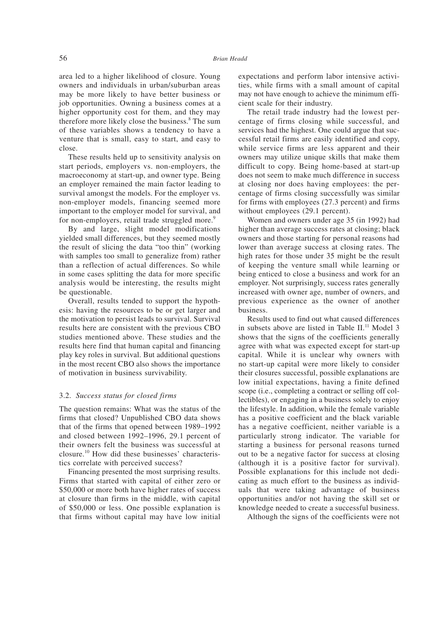area led to a higher likelihood of closure. Young owners and individuals in urban/suburban areas may be more likely to have better business or job opportunities. Owning a business comes at a higher opportunity cost for them, and they may therefore more likely close the business.<sup>8</sup> The sum of these variables shows a tendency to have a venture that is small, easy to start, and easy to close.

These results held up to sensitivity analysis on start periods, employers vs. non-employers, the macroeconomy at start-up, and owner type. Being an employer remained the main factor leading to survival amongst the models. For the employer vs. non-employer models, financing seemed more important to the employer model for survival, and for non-employers, retail trade struggled more.<sup>9</sup>

By and large, slight model modifications yielded small differences, but they seemed mostly the result of slicing the data "too thin" (working with samples too small to generalize from) rather than a reflection of actual differences. So while in some cases splitting the data for more specific analysis would be interesting, the results might be questionable.

Overall, results tended to support the hypothesis: having the resources to be or get larger and the motivation to persist leads to survival. Survival results here are consistent with the previous CBO studies mentioned above. These studies and the results here find that human capital and financing play key roles in survival. But additional questions in the most recent CBO also shows the importance of motivation in business survivability.

## 3.2. *Success status for closed firms*

The question remains: What was the status of the firms that closed? Unpublished CBO data shows that of the firms that opened between 1989–1992 and closed between 1992–1996, 29.1 percent of their owners felt the business was successful at closure.10 How did these businesses' characteristics correlate with perceived success?

Financing presented the most surprising results. Firms that started with capital of either zero or \$50,000 or more both have higher rates of success at closure than firms in the middle, with capital of \$50,000 or less. One possible explanation is that firms without capital may have low initial expectations and perform labor intensive activities, while firms with a small amount of capital may not have enough to achieve the minimum efficient scale for their industry.

The retail trade industry had the lowest percentage of firms closing while successful, and services had the highest. One could argue that successful retail firms are easily identified and copy, while service firms are less apparent and their owners may utilize unique skills that make them difficult to copy. Being home-based at start-up does not seem to make much difference in success at closing nor does having employees: the percentage of firms closing successfully was similar for firms with employees (27.3 percent) and firms without employees (29.1 percent).

Women and owners under age 35 (in 1992) had higher than average success rates at closing; black owners and those starting for personal reasons had lower than average success at closing rates. The high rates for those under 35 might be the result of keeping the venture small while learning or being enticed to close a business and work for an employer. Not surprisingly, success rates generally increased with owner age, number of owners, and previous experience as the owner of another business.

Results used to find out what caused differences in subsets above are listed in Table II.<sup>11</sup> Model 3 shows that the signs of the coefficients generally agree with what was expected except for start-up capital. While it is unclear why owners with no start-up capital were more likely to consider their closures successful, possible explanations are low initial expectations, having a finite defined scope (i.e., completing a contract or selling off collectibles), or engaging in a business solely to enjoy the lifestyle. In addition, while the female variable has a positive coefficient and the black variable has a negative coefficient, neither variable is a particularly strong indicator. The variable for starting a business for personal reasons turned out to be a negative factor for success at closing (although it is a positive factor for survival). Possible explanations for this include not dedicating as much effort to the business as individuals that were taking advantage of business opportunities and/or not having the skill set or knowledge needed to create a successful business.

Although the signs of the coefficients were not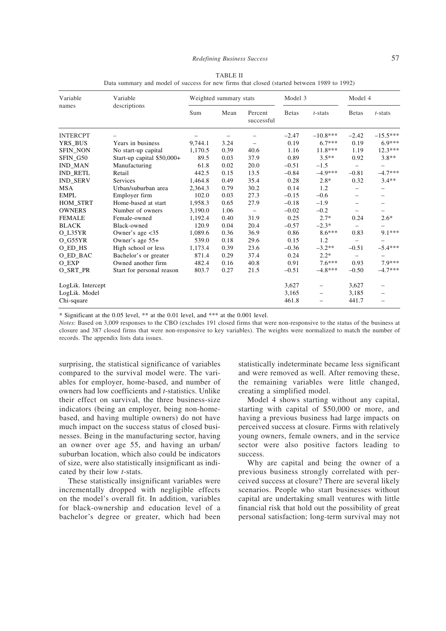| Variable<br>names | Variable<br>descriptions   | Weighted summary stats |      |                          | Model 3       |                          | Model 4                  |                          |
|-------------------|----------------------------|------------------------|------|--------------------------|---------------|--------------------------|--------------------------|--------------------------|
|                   |                            | Sum                    | Mean | Percent<br>successful    | <b>B</b> etas | $t$ -stats               | <b>Betas</b>             | $t$ -stats               |
| <b>INTERCPT</b>   |                            |                        | -    |                          | $-2.47$       | $-10.8***$               | $-2.42$                  | $-15.5***$               |
| YRS_BUS           | Years in business          | 9,744.1                | 3.24 |                          | 0.19          | $6.7***$                 | 0.19                     | $6.9***$                 |
| <b>SFIN NON</b>   | No start-up capital        | 1,170.5                | 0.39 | 40.6                     | 1.16          | $11.8***$                | 1.19                     | $12.3***$                |
| SFIN G50          | Start-up capital \$50,000+ | 89.5                   | 0.03 | 37.9                     | 0.89          | $3.5**$                  | 0.92                     | $3.8**$                  |
| <b>IND MAN</b>    | Manufacturing              | 61.8                   | 0.02 | 20.0                     | $-0.51$       | $-1.5$                   | -                        | $\overline{\phantom{0}}$ |
| <b>IND RETL</b>   | Retail                     | 442.5                  | 0.15 | 13.5                     | $-0.84$       | $-4.9***$                | $-0.81$                  | $-4.7***$                |
| <b>IND SERV</b>   | Services                   | 1,464.8                | 0.49 | 35.4                     | 0.28          | $2.8*$                   | 0.32                     | $3.4**$                  |
| <b>MSA</b>        | Urban/suburban area        | 2,364.3                | 0.79 | 30.2                     | 0.14          | 1.2                      | -                        |                          |
| <b>EMPL</b>       | Employer firm              | 102.0                  | 0.03 | 27.3                     | $-0.15$       | $-0.6$                   | $\overline{\phantom{0}}$ |                          |
| HOM_STRT          | Home-based at start        | 1,958.3                | 0.65 | 27.9                     | $-0.18$       | $-1.9$                   |                          |                          |
| <b>OWNERS</b>     | Number of owners           | 3,190.0                | 1.06 | $\overline{\phantom{m}}$ | $-0.02$       | $-0.2$                   |                          |                          |
| <b>FEMALE</b>     | Female-owned               | 1,192.4                | 0.40 | 31.9                     | 0.25          | $2.7*$                   | 0.24                     | $2.6*$                   |
| <b>BLACK</b>      | Black-owned                | 120.9                  | 0.04 | 20.4                     | $-0.57$       | $-2.3*$                  | $\overline{a}$           |                          |
| O L35YR           | Owner's age $<$ 35         | 1,089.6                | 0.36 | 36.9                     | 0.86          | $8.6***$                 | 0.83                     | $9.1***$                 |
| O G55YR           | Owner's age 55+            | 539.0                  | 0.18 | 29.6                     | 0.15          | 1.2                      | -                        |                          |
| O ED HS           | High school or less        | 1,173.4                | 0.39 | 23.6                     | $-0.36$       | $-3.2**$                 | $-0.51$                  | $-5.4***$                |
| O ED BAC          | Bachelor's or greater      | 871.4                  | 0.29 | 37.4                     | 0.24          | $2.2*$                   | $\overline{\phantom{0}}$ |                          |
| O_EXP             | Owned another firm         | 482.4                  | 0.16 | 40.8                     | 0.91          | $7.6***$                 | 0.93                     | 7.9***                   |
| O SRT PR          | Start for personal reason  | 803.7                  | 0.27 | 21.5                     | $-0.51$       | $-4.8***$                | $-0.50$                  | $-4.7***$                |
| LogLik. Intercept |                            |                        |      |                          | 3,627         | $\overline{\phantom{0}}$ | 3,627                    |                          |
| LogLik. Model     |                            |                        |      |                          | 3,165         | $\overline{\phantom{0}}$ | 3,185                    | $\overline{\phantom{0}}$ |
| Chi-square        |                            |                        |      |                          | 461.8         |                          | 441.7                    |                          |

TABLE II Data summary and model of success for new firms that closed (started between 1989 to 1992)

\* Significant at the 0.05 level, \*\* at the 0.01 level, and \*\*\* at the 0.001 level.

*Notes*: Based on 3,009 responses to the CBO (excludes 191 closed firms that were non-responsive to the status of the business at closure and 387 closed firms that were non-responsive to key variables). The weights were normalized to match the number of records. The appendix lists data issues.

surprising, the statistical significance of variables compared to the survival model were. The variables for employer, home-based, and number of owners had low coefficients and *t*-statistics. Unlike their effect on survival, the three business-size indicators (being an employer, being non-homebased, and having multiple owners) do not have much impact on the success status of closed businesses. Being in the manufacturing sector, having an owner over age 55, and having an urban/ suburban location, which also could be indicators of size, were also statistically insignificant as indicated by their low *t*-stats.

These statistically insignificant variables were incrementally dropped with negligible effects on the model's overall fit. In addition, variables for black-ownership and education level of a bachelor's degree or greater, which had been statistically indeterminate became less significant and were removed as well. After removing these, the remaining variables were little changed, creating a simplified model.

Model 4 shows starting without any capital, starting with capital of \$50,000 or more, and having a previous business had large impacts on perceived success at closure. Firms with relatively young owners, female owners, and in the service sector were also positive factors leading to success.

Why are capital and being the owner of a previous business strongly correlated with perceived success at closure? There are several likely scenarios. People who start businesses without capital are undertaking small ventures with little financial risk that hold out the possibility of great personal satisfaction; long-term survival may not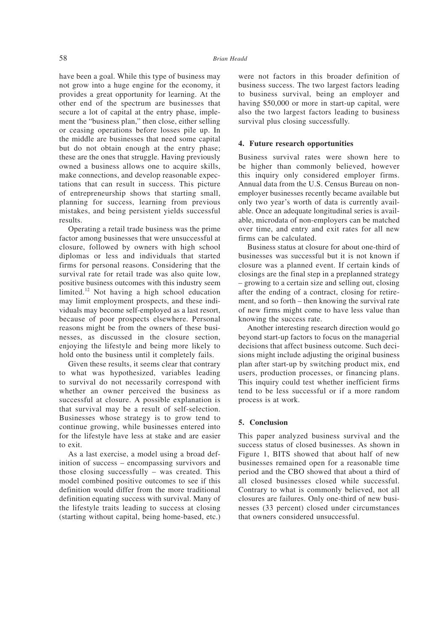have been a goal. While this type of business may not grow into a huge engine for the economy, it provides a great opportunity for learning. At the other end of the spectrum are businesses that secure a lot of capital at the entry phase, implement the "business plan," then close, either selling or ceasing operations before losses pile up. In the middle are businesses that need some capital but do not obtain enough at the entry phase; these are the ones that struggle. Having previously owned a business allows one to acquire skills, make connections, and develop reasonable expectations that can result in success. This picture of entrepreneurship shows that starting small, planning for success, learning from previous mistakes, and being persistent yields successful results.

Operating a retail trade business was the prime factor among businesses that were unsuccessful at closure, followed by owners with high school diplomas or less and individuals that started firms for personal reasons. Considering that the survival rate for retail trade was also quite low, positive business outcomes with this industry seem limited.<sup>12</sup> Not having a high school education may limit employment prospects, and these individuals may become self-employed as a last resort, because of poor prospects elsewhere. Personal reasons might be from the owners of these businesses, as discussed in the closure section, enjoying the lifestyle and being more likely to hold onto the business until it completely fails.

Given these results, it seems clear that contrary to what was hypothesized, variables leading to survival do not necessarily correspond with whether an owner perceived the business as successful at closure. A possible explanation is that survival may be a result of self-selection. Businesses whose strategy is to grow tend to continue growing, while businesses entered into for the lifestyle have less at stake and are easier to exit.

As a last exercise, a model using a broad definition of success – encompassing survivors and those closing successfully – was created. This model combined positive outcomes to see if this definition would differ from the more traditional definition equating success with survival. Many of the lifestyle traits leading to success at closing (starting without capital, being home-based, etc.) were not factors in this broader definition of business success. The two largest factors leading to business survival, being an employer and having \$50,000 or more in start-up capital, were also the two largest factors leading to business survival plus closing successfully.

## **4. Future research opportunities**

Business survival rates were shown here to be higher than commonly believed, however this inquiry only considered employer firms. Annual data from the U.S. Census Bureau on nonemployer businesses recently became available but only two year's worth of data is currently available. Once an adequate longitudinal series is available, microdata of non-employers can be matched over time, and entry and exit rates for all new firms can be calculated.

Business status at closure for about one-third of businesses was successful but it is not known if closure was a planned event. If certain kinds of closings are the final step in a preplanned strategy – growing to a certain size and selling out, closing after the ending of a contract, closing for retirement, and so forth – then knowing the survival rate of new firms might come to have less value than knowing the success rate.

Another interesting research direction would go beyond start-up factors to focus on the managerial decisions that affect business outcome. Such decisions might include adjusting the original business plan after start-up by switching product mix, end users, production processes, or financing plans. This inquiry could test whether inefficient firms tend to be less successful or if a more random process is at work.

## **5. Conclusion**

This paper analyzed business survival and the success status of closed businesses. As shown in Figure 1, BITS showed that about half of new businesses remained open for a reasonable time period and the CBO showed that about a third of all closed businesses closed while successful. Contrary to what is commonly believed, not all closures are failures. Only one-third of new businesses (33 percent) closed under circumstances that owners considered unsuccessful.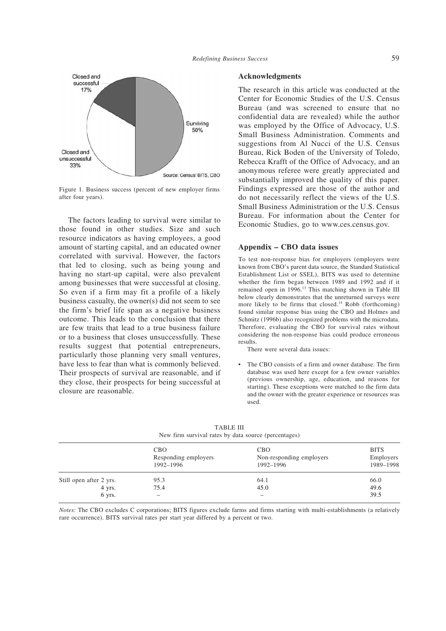

Figure 1. Business success (percent of new employer firms after four years).

The factors leading to survival were similar to those found in other studies. Size and such resource indicators as having employees, a good amount of starting capital, and an educated owner correlated with survival. However, the factors that led to closing, such as being young and having no start-up capital, were also prevalent among businesses that were successful at closing. So even if a firm may fit a profile of a likely business casualty, the owner(s) did not seem to see the firm's brief life span as a negative business outcome. This leads to the conclusion that there are few traits that lead to a true business failure or to a business that closes unsuccessfully. These results suggest that potential entrepreneurs, particularly those planning very small ventures, have less to fear than what is commonly believed. Their prospects of survival are reasonable, and if they close, their prospects for being successful at closure are reasonable.

## **Acknowledgments**

The research in this article was conducted at the Center for Economic Studies of the U.S. Census Bureau (and was screened to ensure that no confidential data are revealed) while the author was employed by the Office of Advocacy, U.S. Small Business Administration. Comments and suggestions from Al Nucci of the U.S. Census Bureau, Rick Boden of the University of Toledo, Rebecca Krafft of the Office of Advocacy, and an anonymous referee were greatly appreciated and substantially improved the quality of this paper. Findings expressed are those of the author and do not necessarily reflect the views of the U.S. Small Business Administration or the U.S. Census Bureau. For information about the Center for Economic Studies, go to www.ces.census.gov.

## **Appendix – CBO data issues**

To test non-response bias for employers (employers were known from CBO's parent data source, the Standard Statistical Establishment List or SSEL), BITS was used to determine whether the firm began between 1989 and 1992 and if it remained open in 1996.<sup>13</sup> This matching shown in Table III below clearly demonstrates that the unreturned surveys were more likely to be firms that closed.<sup>14</sup> Robb (forthcoming) found similar response bias using the CBO and Holmes and Schmitz (1996b) also recognized problems with the microdata. Therefore, evaluating the CBO for survival rates without considering the non-response bias could produce erroneous results.

There were several data issues:

The CBO consists of a firm and owner database. The firm database was used here except for a few owner variables (previous ownership, age, education, and reasons for starting). These exceptions were matched to the firm data and the owner with the greater experience or resources was used.

|                         | <b>CBO</b>           | <b>CBO</b>               | <b>BITS</b> |  |
|-------------------------|----------------------|--------------------------|-------------|--|
|                         | Responding employers | Non-responding employers | Employers   |  |
|                         | 1992-1996            | 1992-1996                | 1989-1998   |  |
| Still open after 2 yrs. | 95.3                 | 64.1                     | 66.0        |  |
| 4 yrs.                  | 75.4                 | 45.0                     | 49.6        |  |
| 6 yrs.                  | -                    |                          | 39.5        |  |

TABLE III New firm survival rates by data source (percentages)

*Notes*: The CBO excludes C corporations; BITS figures exclude farms and firms starting with multi-establishments (a relatively rare occurrence). BITS survival rates per start year differed by a percent or two.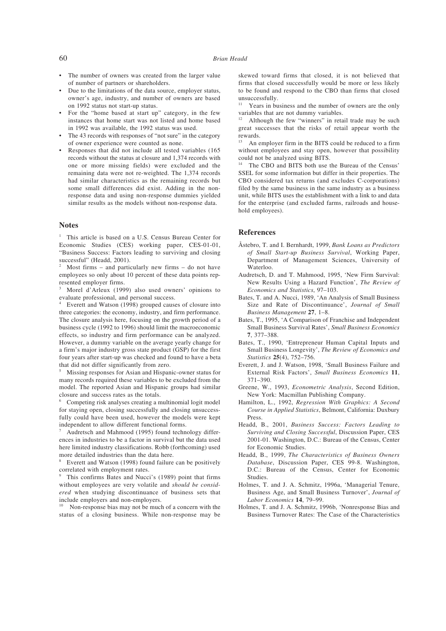- The number of owners was created from the larger value of number of partners or shareholders.
- Due to the limitations of the data source, employer status, owner's age, industry, and number of owners are based on 1992 status not start-up status.
- For the "home based at start up" category, in the few instances that home start was not listed and home based in 1992 was available, the 1992 status was used.
- The 43 records with responses of "not sure" in the category of owner experience were counted as none.
- Responses that did not include all tested variables (165 records without the status at closure and 1,374 records with one or more missing fields) were excluded and the remaining data were not re-weighted. The 1,374 records had similar characteristics as the remaining records but some small differences did exist. Adding in the nonresponse data and using non-response dummies yielded similar results as the models without non-response data.

## **Notes**

<sup>1</sup> This article is based on a U.S. Census Bureau Center for Economic Studies (CES) working paper, CES-01-01, "Business Success: Factors leading to surviving and closing successful" (Headd, 2001).

Most firms – and particularly new firms – do not have employees so only about 10 percent of these data points represented employer firms.

<sup>3</sup> Morel d'Arleux (1999) also used owners' opinions to evaluate professional, and personal success.

Everett and Watson (1998) grouped causes of closure into three categories: the economy, industry, and firm performance. The closure analysis here, focusing on the growth period of a business cycle (1992 to 1996) should limit the macroeconomic effects, so industry and firm performance can be analyzed. However, a dummy variable on the average yearly change for a firm's major industry gross state product (GSP) for the first four years after start-up was checked and found to have a beta that did not differ significantly from zero.

<sup>5</sup> Missing responses for Asian and Hispanic-owner status for many records required these variables to be excluded from the model. The reported Asian and Hispanic groups had similar closure and success rates as the totals.

<sup>6</sup> Competing risk analyses creating a multinomial logit model for staying open, closing successfully and closing unsuccessfully could have been used, however the models were kept independent to allow different functional forms.

Audretsch and Mahmood (1995) found technology differences in industries to be a factor in survival but the data used here limited industry classifications. Robb (forthcoming) used more detailed industries than the data here.

Everett and Watson (1998) found failure can be positively correlated with employment rates.

This confirms Bates and Nucci's (1989) point that firms without employees are very volatile and *should be considered* when studying discontinuance of business sets that include employers and non-employers.

Non-response bias may not be much of a concern with the status of a closing business. While non-response may be skewed toward firms that closed, it is not believed that firms that closed successfully would be more or less likely to be found and respond to the CBO than firms that closed unsuccessfully.

Years in business and the number of owners are the only variables that are not dummy variables.

<sup>12</sup> Although the few "winners" in retail trade may be such great successes that the risks of retail appear worth the rewards.

An employer firm in the BITS could be reduced to a firm without employees and stay open, however that possibility could not be analyzed using BITS.

The CBO and BITS both use the Bureau of the Census' SSEL for some information but differ in their properties. The CBO considered tax returns (and excludes C-corporations) filed by the same business in the same industry as a business unit, while BITS uses the establishment with a link to and data for the enterprise (and excluded farms, railroads and household employees).

#### **References**

- Åstebro, T. and I. Bernhardt, 1999, *Bank Loans as Predictors of Small Start-up Business Survival*, Working Paper, Department of Management Sciences, University of Waterloo.
- Audretsch, D. and T. Mahmood, 1995, 'New Firm Survival: New Results Using a Hazard Function', *The Review of Economics and Statistics*, 97–103.
- Bates, T. and A. Nucci, 1989, 'An Analysis of Small Business Size and Rate of Discontinuance', *Journal of Small Business Management* **27**, 1–8.
- Bates, T., 1995, 'A Comparison of Franchise and Independent Small Business Survival Rates', *Small Business Economics* **7**, 377–388.
- Bates, T., 1990, 'Entrepreneur Human Capital Inputs and Small Business Longevity', *The Review of Economics and Statistics* **25**(4), 752–756.
- Everett, J. and J. Watson, 1998, 'Small Business Failure and External Risk Factors', *Small Business Economics* **11**, 371–390.
- Greene, W., 1993, *Econometric Analysis*, Second Edition, New York: Macmillan Publishing Company.
- Hamilton, L., 1992, *Regression With Graphics: A Second Course in Applied Statistics*, Belmont, California: Duxbury Press.
- Headd, B., 2001, *Business Success: Factors Leading to Surviving and Closing Successful*, Discussion Paper, CES 2001-01. Washington, D.C.: Bureau of the Census, Center for Economic Studies.
- Headd, B., 1999, *The Characteristics of Business Owners Database*, Discussion Paper, CES 99-8. Washington, D.C.: Bureau of the Census, Center for Economic Studies.
- Holmes, T. and J. A. Schmitz, 1996a, 'Managerial Tenure, Business Age, and Small Business Turnover', *Journal of Labor Economics* **14**, 79–99.
- Holmes, T. and J. A. Schmitz, 1996b, 'Nonresponse Bias and Business Turnover Rates: The Case of the Characteristics